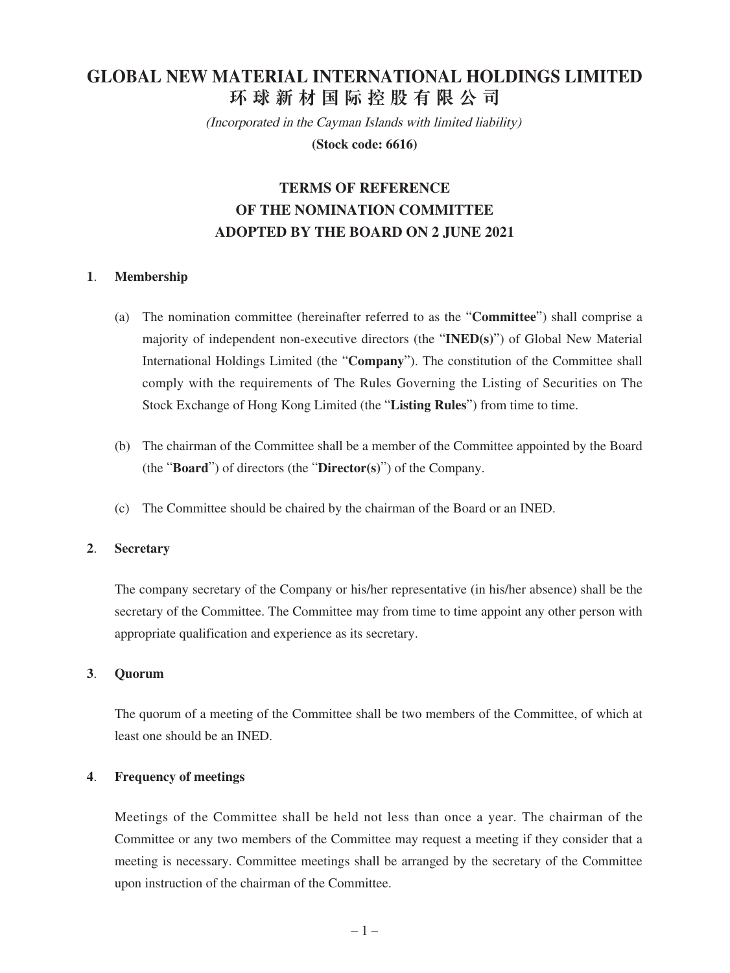# **GLOBAL NEW MATERIAL INTERNATIONAL HOLDINGS LIMITED 環球新材國際控股有限公司**

(Incorporated in the Cayman Islands with limited liability)

**(Stock code: 6616)**

## **TERMS OF REFERENCE OF THE NOMINATION COMMITTEE ADOPTED BY THE BOARD ON 2 JUNE 2021**

## **1**. **Membership**

- (a) The nomination committee (hereinafter referred to as the "**Committee**") shall comprise a majority of independent non-executive directors (the "**INED(s)**") of Global New Material International Holdings Limited (the "**Company**"). The constitution of the Committee shall comply with the requirements of The Rules Governing the Listing of Securities on The Stock Exchange of Hong Kong Limited (the "**Listing Rules**") from time to time.
- (b) The chairman of the Committee shall be a member of the Committee appointed by the Board (the "**Board**") of directors (the "**Director(s)**") of the Company.
- (c) The Committee should be chaired by the chairman of the Board or an INED.

#### **2**. **Secretary**

The company secretary of the Company or his/her representative (in his/her absence) shall be the secretary of the Committee. The Committee may from time to time appoint any other person with appropriate qualification and experience as its secretary.

#### **3**. **Quorum**

The quorum of a meeting of the Committee shall be two members of the Committee, of which at least one should be an INED.

#### **4**. **Frequency of meetings**

Meetings of the Committee shall be held not less than once a year. The chairman of the Committee or any two members of the Committee may request a meeting if they consider that a meeting is necessary. Committee meetings shall be arranged by the secretary of the Committee upon instruction of the chairman of the Committee.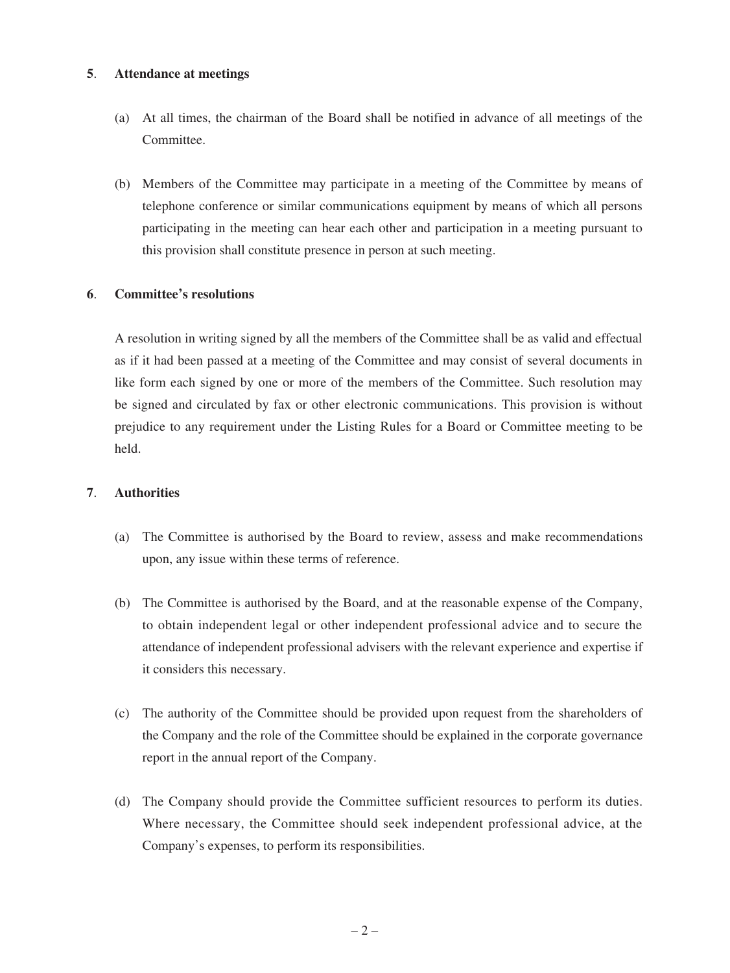#### **5**. **Attendance at meetings**

- (a) At all times, the chairman of the Board shall be notified in advance of all meetings of the Committee.
- (b) Members of the Committee may participate in a meeting of the Committee by means of telephone conference or similar communications equipment by means of which all persons participating in the meeting can hear each other and participation in a meeting pursuant to this provision shall constitute presence in person at such meeting.

#### **6**. **Committee's resolutions**

A resolution in writing signed by all the members of the Committee shall be as valid and effectual as if it had been passed at a meeting of the Committee and may consist of several documents in like form each signed by one or more of the members of the Committee. Such resolution may be signed and circulated by fax or other electronic communications. This provision is without prejudice to any requirement under the Listing Rules for a Board or Committee meeting to be held.

#### **7**. **Authorities**

- (a) The Committee is authorised by the Board to review, assess and make recommendations upon, any issue within these terms of reference.
- (b) The Committee is authorised by the Board, and at the reasonable expense of the Company, to obtain independent legal or other independent professional advice and to secure the attendance of independent professional advisers with the relevant experience and expertise if it considers this necessary.
- (c) The authority of the Committee should be provided upon request from the shareholders of the Company and the role of the Committee should be explained in the corporate governance report in the annual report of the Company.
- (d) The Company should provide the Committee sufficient resources to perform its duties. Where necessary, the Committee should seek independent professional advice, at the Company's expenses, to perform its responsibilities.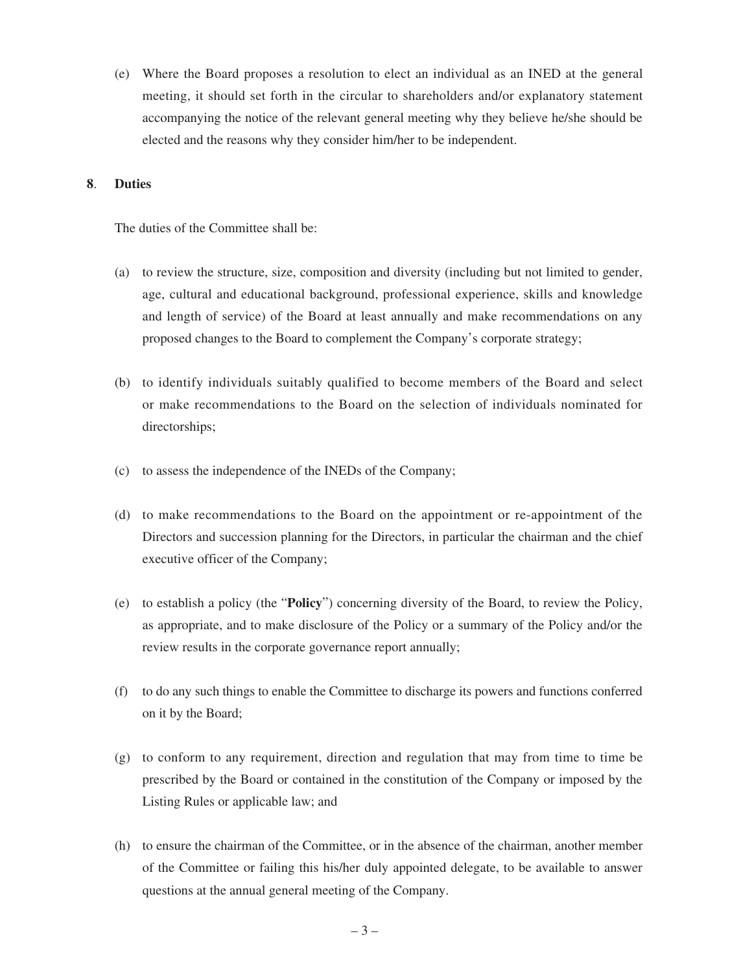(e) Where the Board proposes a resolution to elect an individual as an INED at the general meeting, it should set forth in the circular to shareholders and/or explanatory statement accompanying the notice of the relevant general meeting why they believe he/she should be elected and the reasons why they consider him/her to be independent.

#### **8**. **Duties**

The duties of the Committee shall be:

- (a) to review the structure, size, composition and diversity (including but not limited to gender, age, cultural and educational background, professional experience, skills and knowledge and length of service) of the Board at least annually and make recommendations on any proposed changes to the Board to complement the Company's corporate strategy;
- (b) to identify individuals suitably qualified to become members of the Board and select or make recommendations to the Board on the selection of individuals nominated for directorships;
- (c) to assess the independence of the INEDs of the Company;
- (d) to make recommendations to the Board on the appointment or re-appointment of the Directors and succession planning for the Directors, in particular the chairman and the chief executive officer of the Company;
- (e) to establish a policy (the "**Policy**") concerning diversity of the Board, to review the Policy, as appropriate, and to make disclosure of the Policy or a summary of the Policy and/or the review results in the corporate governance report annually;
- (f) to do any such things to enable the Committee to discharge its powers and functions conferred on it by the Board;
- (g) to conform to any requirement, direction and regulation that may from time to time be prescribed by the Board or contained in the constitution of the Company or imposed by the Listing Rules or applicable law; and
- (h) to ensure the chairman of the Committee, or in the absence of the chairman, another member of the Committee or failing this his/her duly appointed delegate, to be available to answer questions at the annual general meeting of the Company.